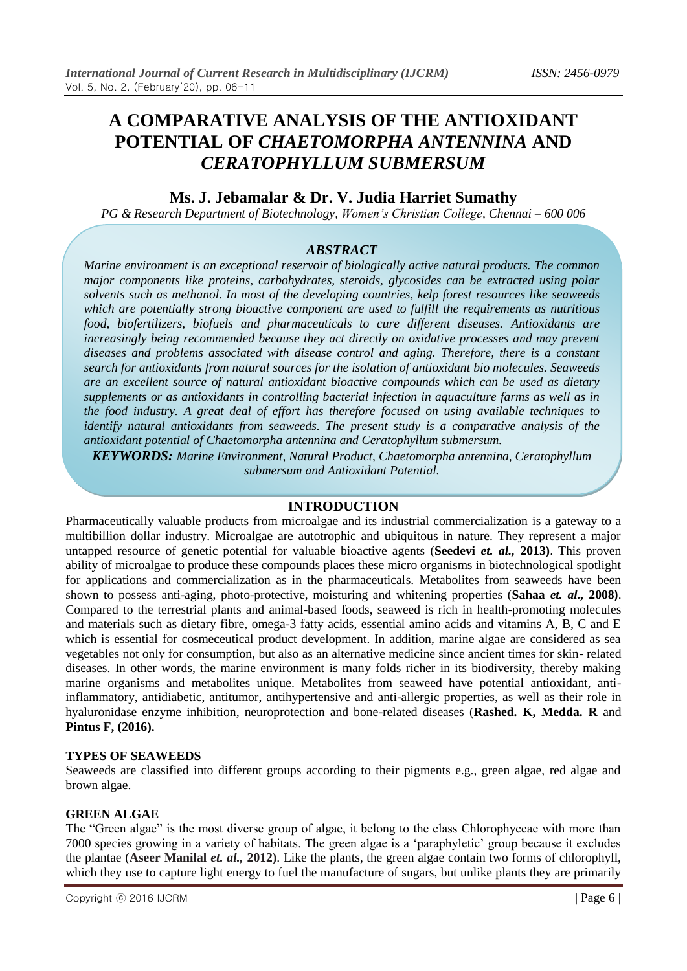# **A COMPARATIVE ANALYSIS OF THE ANTIOXIDANT POTENTIAL OF** *CHAETOMORPHA ANTENNINA* **AND** *CERATOPHYLLUM SUBMERSUM*

# **Ms. J. Jebamalar & Dr. V. Judia Harriet Sumathy**

*PG & Research Department of Biotechnology, Women's Christian College, Chennai – 600 006*

## *ABSTRACT*

*Marine environment is an exceptional reservoir of biologically active natural products. The common major components like proteins, carbohydrates, steroids, glycosides can be extracted using polar solvents such as methanol. In most of the developing countries, kelp forest resources like seaweeds which are potentially strong bioactive component are used to fulfill the requirements as nutritious food, biofertilizers, biofuels and pharmaceuticals to cure different diseases. Antioxidants are increasingly being recommended because they act directly on oxidative processes and may prevent diseases and problems associated with disease control and aging. Therefore, there is a constant search for antioxidants from natural sources for the isolation of antioxidant bio molecules. Seaweeds are an excellent source of natural antioxidant bioactive compounds which can be used as dietary supplements or as antioxidants in controlling bacterial infection in aquaculture farms as well as in the food industry. A great deal of effort has therefore focused on using available techniques to identify natural antioxidants from seaweeds. The present study is a comparative analysis of the antioxidant potential of Chaetomorpha antennina and Ceratophyllum submersum.*

*KEYWORDS: Marine Environment, Natural Product, Chaetomorpha antennina, Ceratophyllum submersum and Antioxidant Potential.*

#### **INTRODUCTION**

Pharmaceutically valuable products from microalgae and its industrial commercialization is a gateway to a multibillion dollar industry. Microalgae are autotrophic and ubiquitous in nature. They represent a major untapped resource of genetic potential for valuable bioactive agents (**Seedevi** *et. al.,* **2013)**. This proven ability of microalgae to produce these compounds places these micro organisms in biotechnological spotlight for applications and commercialization as in the pharmaceuticals. Metabolites from seaweeds have been shown to possess anti-aging, photo-protective, moisturing and whitening properties (**Sahaa** *et. al.,* **2008)**. Compared to the terrestrial plants and animal-based foods, seaweed is rich in health-promoting molecules and materials such as dietary fibre, omega-3 fatty acids, essential amino acids and vitamins A, B, C and E which is essential for cosmeceutical product development. In addition, marine algae are considered as sea vegetables not only for consumption, but also as an alternative medicine since ancient times for skin- related diseases. In other words, the marine environment is many folds richer in its biodiversity, thereby making marine organisms and metabolites unique. Metabolites from seaweed have potential antioxidant, antiinflammatory, antidiabetic, antitumor, antihypertensive and anti-allergic properties, as well as their role in hyaluronidase enzyme inhibition, neuroprotection and bone-related diseases (**Rashed. K, Medda. R** and **Pintus F, (2016).**

#### **TYPES OF SEAWEEDS**

Seaweeds are classified into different groups according to their pigments e.g., green algae, red algae and brown algae.

#### **GREEN ALGAE**

The "Green algae" is the most diverse group of algae, it belong to the class Chlorophyceae with more than 7000 species growing in a variety of habitats. The green algae is a "paraphyletic" group because it excludes the plantae (**Aseer Manilal** *et. al.,* **2012)**. Like the plants, the green algae contain two forms of chlorophyll, which they use to capture light energy to fuel the manufacture of sugars, but unlike plants they are primarily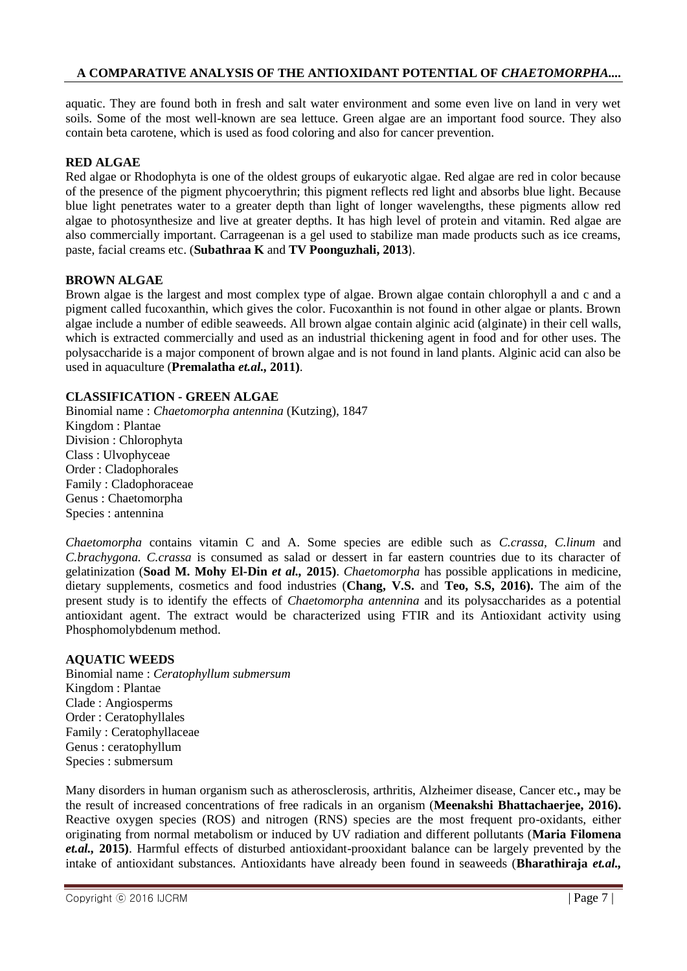aquatic. They are found both in fresh and salt water environment and some even live on land in very wet soils. Some of the most well-known are sea lettuce. Green algae are an important food source. They also contain beta carotene, which is used as food coloring and also for cancer prevention.

## **RED ALGAE**

Red algae or Rhodophyta is one of the oldest groups of eukaryotic algae. Red algae are red in color because of the presence of the pigment phycoerythrin; this pigment reflects red light and absorbs blue light. Because blue light penetrates water to a greater depth than light of longer wavelengths, these pigments allow red algae to photosynthesize and live at greater depths. It has high level of protein and vitamin. Red algae are also commercially important. Carrageenan is a gel used to stabilize man made products such as ice creams, paste, facial creams etc. (**Subathraa K** and **TV Poonguzhali, 2013**).

#### **BROWN ALGAE**

Brown algae is the largest and most complex type of algae. Brown algae contain chlorophyll a and c and a pigment called fucoxanthin, which gives the color. Fucoxanthin is not found in other algae or plants. Brown algae include a number of edible seaweeds. All brown algae contain alginic acid (alginate) in their cell walls, which is extracted commercially and used as an industrial thickening agent in food and for other uses. The polysaccharide is a major component of brown algae and is not found in land plants. Alginic acid can also be used in aquaculture (**Premalatha** *et.al.,* **2011)**.

#### **CLASSIFICATION - GREEN ALGAE**

Binomial name : *Chaetomorpha antennina* (Kutzing), 1847 Kingdom : Plantae Division : Chlorophyta Class : Ulvophyceae Order : Cladophorales Family : Cladophoraceae Genus : Chaetomorpha Species : antennina

*Chaetomorpha* contains vitamin C and A. Some species are edible such as *C.crassa, C.linum* and *C.brachygona. C.crassa* is consumed as salad or dessert in far eastern countries due to its character of gelatinization (**Soad M. Mohy El-Din** *et al.,* **2015)**. *Chaetomorpha* has possible applications in medicine, dietary supplements, cosmetics and food industries (**Chang, V.S.** and **Teo, S.S, 2016).** The aim of the present study is to identify the effects of *Chaetomorpha antennina* and its polysaccharides as a potential antioxidant agent. The extract would be characterized using FTIR and its Antioxidant activity using Phosphomolybdenum method.

#### **AQUATIC WEEDS**

Binomial name : *Ceratophyllum submersum*  Kingdom : Plantae Clade : Angiosperms Order : Ceratophyllales Family : Ceratophyllaceae Genus : ceratophyllum Species : submersum

Many disorders in human organism such as atherosclerosis, arthritis, Alzheimer disease, Cancer etc.**,** may be the result of increased concentrations of free radicals in an organism (**Meenakshi Bhattachaerjee, 2016).** Reactive oxygen species (ROS) and nitrogen (RNS) species are the most frequent pro-oxidants, either originating from normal metabolism or induced by UV radiation and different pollutants (**Maria Filomena** *et.al.,* **2015)**. Harmful effects of disturbed antioxidant-prooxidant balance can be largely prevented by the intake of antioxidant substances. Antioxidants have already been found in seaweeds (**Bharathiraja** *et.al.,*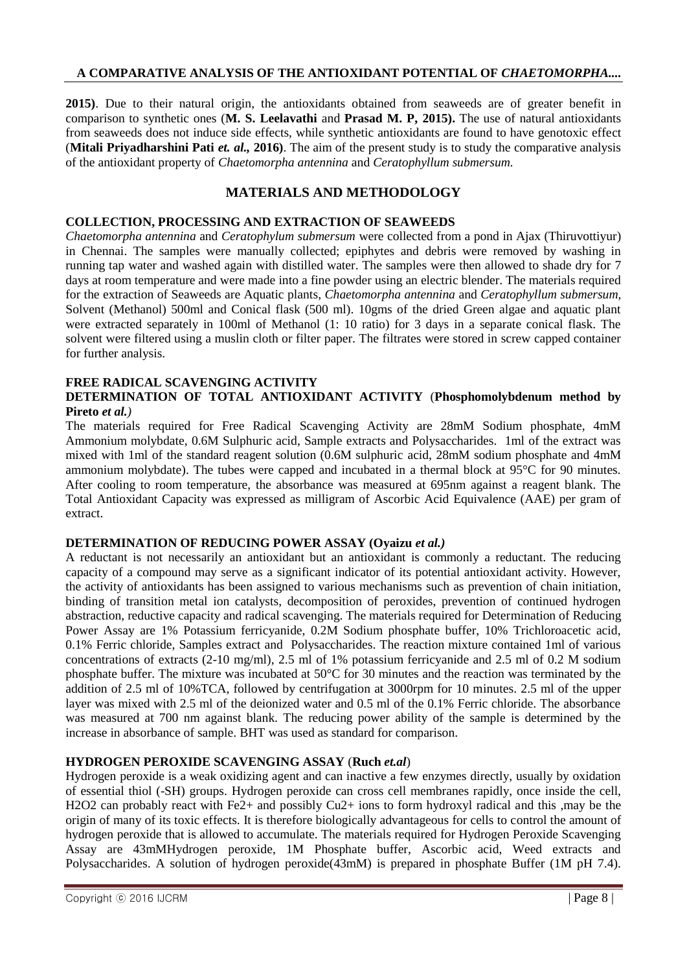**2015)**. Due to their natural origin, the antioxidants obtained from seaweeds are of greater benefit in comparison to synthetic ones (**M. S. Leelavathi** and **Prasad M. P, 2015).** The use of natural antioxidants from seaweeds does not induce side effects, while synthetic antioxidants are found to have genotoxic effect (**Mitali Priyadharshini Pati** *et. al.***, 2016**). The aim of the present study is to study the comparative analysis of the antioxidant property of *Chaetomorpha antennina* and *Ceratophyllum submersum.*

# **MATERIALS AND METHODOLOGY**

## **COLLECTION, PROCESSING AND EXTRACTION OF SEAWEEDS**

*Chaetomorpha antennina* and *Ceratophylum submersum* were collected from a pond in Ajax (Thiruvottiyur) in Chennai. The samples were manually collected; epiphytes and debris were removed by washing in running tap water and washed again with distilled water. The samples were then allowed to shade dry for 7 days at room temperature and were made into a fine powder using an electric blender. The materials required for the extraction of Seaweeds are Aquatic plants, *Chaetomorpha antennina* and *Ceratophyllum submersum,*  Solvent (Methanol) 500ml and Conical flask (500 ml). 10gms of the dried Green algae and aquatic plant were extracted separately in 100ml of Methanol (1: 10 ratio) for 3 days in a separate conical flask. The solvent were filtered using a muslin cloth or filter paper. The filtrates were stored in screw capped container for further analysis.

#### **FREE RADICAL SCAVENGING ACTIVITY DETERMINATION OF TOTAL ANTIOXIDANT ACTIVITY** (**Phosphomolybdenum method by Pireto** *et al.)*

The materials required for Free Radical Scavenging Activity are 28mM Sodium phosphate, 4mM Ammonium molybdate, 0.6M Sulphuric acid, Sample extracts and Polysaccharides. 1ml of the extract was mixed with 1ml of the standard reagent solution (0.6M sulphuric acid, 28mM sodium phosphate and 4mM ammonium molybdate). The tubes were capped and incubated in a thermal block at 95°C for 90 minutes. After cooling to room temperature, the absorbance was measured at 695nm against a reagent blank. The Total Antioxidant Capacity was expressed as milligram of Ascorbic Acid Equivalence (AAE) per gram of extract.

#### **DETERMINATION OF REDUCING POWER ASSAY (Oyaizu** *et al.)*

A reductant is not necessarily an antioxidant but an antioxidant is commonly a reductant. The reducing capacity of a compound may serve as a significant indicator of its potential antioxidant activity. However, the activity of antioxidants has been assigned to various mechanisms such as prevention of chain initiation, binding of transition metal ion catalysts, decomposition of peroxides, prevention of continued hydrogen abstraction, reductive capacity and radical scavenging. The materials required for Determination of Reducing Power Assay are 1% Potassium ferricyanide, 0.2M Sodium phosphate buffer, 10% Trichloroacetic acid, 0.1% Ferric chloride, Samples extract and Polysaccharides. The reaction mixture contained 1ml of various concentrations of extracts (2-10 mg/ml), 2.5 ml of 1% potassium ferricyanide and 2.5 ml of 0.2 M sodium phosphate buffer. The mixture was incubated at 50°C for 30 minutes and the reaction was terminated by the addition of 2.5 ml of 10%TCA, followed by centrifugation at 3000rpm for 10 minutes. 2.5 ml of the upper layer was mixed with 2.5 ml of the deionized water and 0.5 ml of the 0.1% Ferric chloride. The absorbance was measured at 700 nm against blank. The reducing power ability of the sample is determined by the increase in absorbance of sample. BHT was used as standard for comparison.

## **HYDROGEN PEROXIDE SCAVENGING ASSAY** (**Ruch** *et.al*)

Hydrogen peroxide is a weak oxidizing agent and can inactive a few enzymes directly, usually by oxidation of essential thiol (-SH) groups. Hydrogen peroxide can cross cell membranes rapidly, once inside the cell, H2O2 can probably react with Fe2+ and possibly Cu2+ ions to form hydroxyl radical and this ,may be the origin of many of its toxic effects. It is therefore biologically advantageous for cells to control the amount of hydrogen peroxide that is allowed to accumulate. The materials required for Hydrogen Peroxide Scavenging Assay are 43mMHydrogen peroxide, 1M Phosphate buffer, Ascorbic acid, Weed extracts and Polysaccharides. A solution of hydrogen peroxide(43mM) is prepared in phosphate Buffer (1M pH 7.4).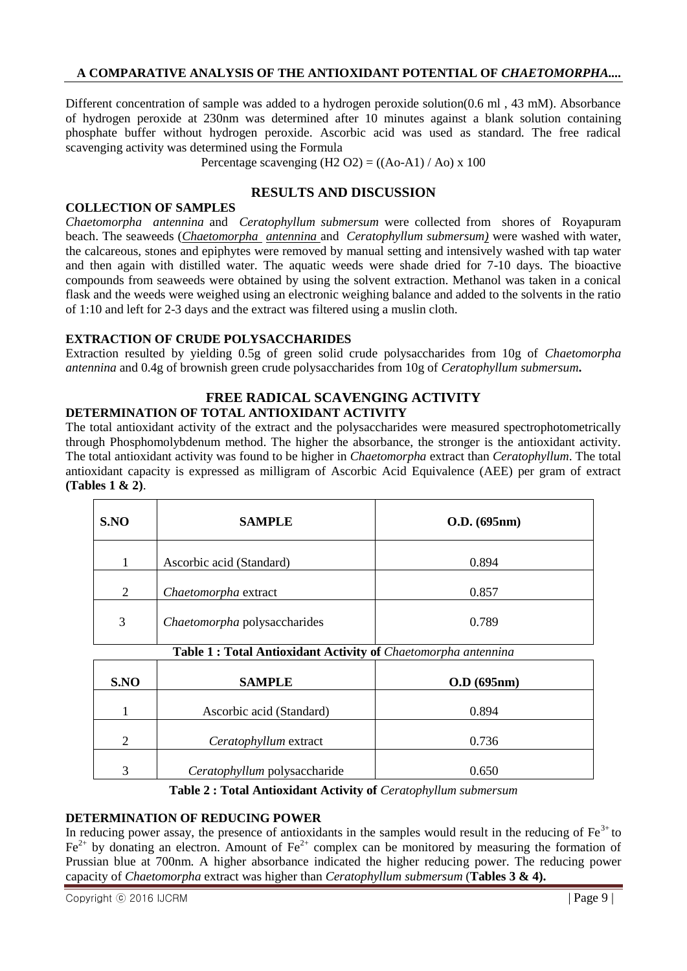Different concentration of sample was added to a hydrogen peroxide solution(0.6 ml , 43 mM). Absorbance of hydrogen peroxide at 230nm was determined after 10 minutes against a blank solution containing phosphate buffer without hydrogen peroxide. Ascorbic acid was used as standard. The free radical scavenging activity was determined using the Formula

Percentage scavenging  $(H2 O2) = ((Ao-A1)/Ao) \times 100$ 

## **RESULTS AND DISCUSSION**

#### **COLLECTION OF SAMPLES**

*Chaetomorpha antennina* and *Ceratophyllum submersum* were collected from shores of Royapuram beach. The seaweeds (*Chaetomorpha antennina* and *Ceratophyllum submersum)* were washed with water, the calcareous, stones and epiphytes were removed by manual setting and intensively washed with tap water and then again with distilled water. The aquatic weeds were shade dried for 7-10 days. The bioactive compounds from seaweeds were obtained by using the solvent extraction. Methanol was taken in a conical flask and the weeds were weighed using an electronic weighing balance and added to the solvents in the ratio of 1:10 and left for 2-3 days and the extract was filtered using a muslin cloth.

## **EXTRACTION OF CRUDE POLYSACCHARIDES**

Extraction resulted by yielding 0.5g of green solid crude polysaccharides from 10g of *Chaetomorpha antennina* and 0.4g of brownish green crude polysaccharides from 10g of *Ceratophyllum submersum***.**

## **FREE RADICAL SCAVENGING ACTIVITY**

#### **DETERMINATION OF TOTAL ANTIOXIDANT ACTIVITY**

The total antioxidant activity of the extract and the polysaccharides were measured spectrophotometrically through Phosphomolybdenum method. The higher the absorbance, the stronger is the antioxidant activity. The total antioxidant activity was found to be higher in *Chaetomorpha* extract than *Ceratophyllum*. The total antioxidant capacity is expressed as milligram of Ascorbic Acid Equivalence (AEE) per gram of extract **(Tables 1 & 2)**.

| S.NO                                                          | <b>SAMPLE</b>                | O.D. (695nm) |  |  |  |  |
|---------------------------------------------------------------|------------------------------|--------------|--|--|--|--|
| 1                                                             | Ascorbic acid (Standard)     | 0.894        |  |  |  |  |
| 2                                                             | Chaetomorpha extract         | 0.857        |  |  |  |  |
| 3                                                             | Chaetomorpha polysaccharides | 0.789        |  |  |  |  |
| Table 1: Total Antioxidant Activity of Chaetomorpha antennina |                              |              |  |  |  |  |
| S.NO                                                          | <b>SAMPLE</b>                | O.D. (695nm) |  |  |  |  |
| 1                                                             | Ascorbic acid (Standard)     | 0.894        |  |  |  |  |
| $\overline{c}$                                                | Ceratophyllum extract        | 0.736        |  |  |  |  |

**Table 2 : Total Antioxidant Activity of** *Ceratophyllum submersum*

3 *Ceratophyllum* polysaccharide 0.650

## **DETERMINATION OF REDUCING POWER**

In reducing power assay, the presence of antioxidants in the samples would result in the reducing of  $Fe<sup>3+</sup>$  to  $Fe<sup>2+</sup>$  by donating an electron. Amount of  $Fe<sup>2+</sup>$  complex can be monitored by measuring the formation of Prussian blue at 700nm. A higher absorbance indicated the higher reducing power. The reducing power capacity of *Chaetomorpha* extract was higher than *Ceratophyllum submersum* (**Tables 3 & 4).**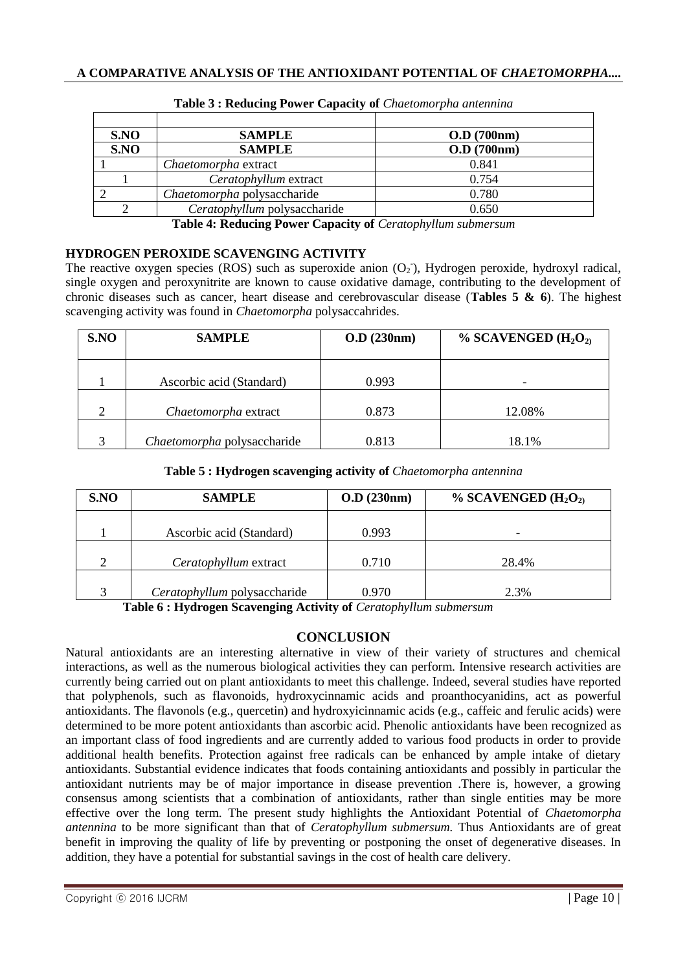| S.NO | <b>SAMPLE</b>                | O.D. (700nm)  |
|------|------------------------------|---------------|
| S.NO | <b>SAMPLE</b>                | $O.D$ (700nm) |
|      | Chaetomorpha extract         | 0.841         |
|      | Ceratophyllum extract        | 0.754         |
|      | Chaetomorpha polysaccharide  | 0.780         |
|      | Ceratophyllum polysaccharide | 0.650         |

**Table 3 : Reducing Power Capacity of** *Chaetomorpha antennina*

**Table 4: Reducing Power Capacity of** *Ceratophyllum submersum*

## **HYDROGEN PEROXIDE SCAVENGING ACTIVITY**

The reactive oxygen species (ROS) such as superoxide anion  $(O_2)$ , Hydrogen peroxide, hydroxyl radical, single oxygen and peroxynitrite are known to cause oxidative damage, contributing to the development of chronic diseases such as cancer, heart disease and cerebrovascular disease (**Tables 5 & 6**). The highest scavenging activity was found in *Chaetomorpha* polysaccahrides.

| S.NO | <b>SAMPLE</b>               | $O.D$ (230nm) | % SCAVENGED $(H_2O_2)$ |
|------|-----------------------------|---------------|------------------------|
|      | Ascorbic acid (Standard)    | 0.993         |                        |
| 2    | Chaetomorpha extract        | 0.873         | 12.08%                 |
| 3    | Chaetomorpha polysaccharide | 0.813         | 18.1%                  |

#### **Table 5 : Hydrogen scavenging activity of** *Chaetomorpha antennina*

| S.NO              | <b>SAMPLE</b>                | O.D (230nm) | % SCAVENGED $(H_2O_2)$ |
|-------------------|------------------------------|-------------|------------------------|
|                   | Ascorbic acid (Standard)     | 0.993       | -                      |
|                   |                              |             |                        |
|                   | Ceratophyllum extract        | 0.710       | 28.4%                  |
| $\mathbf{\Omega}$ | Ceratophyllum polysaccharide | 0.970       | 2.3%                   |

 **Table 6 : Hydrogen Scavenging Activity of** *Ceratophyllum submersum*

# **CONCLUSION**

Natural antioxidants are an interesting alternative in view of their variety of structures and chemical interactions, as well as the numerous biological activities they can perform. Intensive research activities are currently being carried out on plant antioxidants to meet this challenge. Indeed, several studies have reported that polyphenols, such as flavonoids, hydroxycinnamic acids and proanthocyanidins, act as powerful antioxidants. The flavonols (e.g., quercetin) and hydroxyicinnamic acids (e.g., caffeic and ferulic acids) were determined to be more potent antioxidants than ascorbic acid. Phenolic antioxidants have been recognized as an important class of food ingredients and are currently added to various food products in order to provide additional health benefits. Protection against free radicals can be enhanced by ample intake of dietary antioxidants. Substantial evidence indicates that foods containing antioxidants and possibly in particular the antioxidant nutrients may be of major importance in disease prevention .There is, however, a growing consensus among scientists that a combination of antioxidants, rather than single entities may be more effective over the long term. The present study highlights the Antioxidant Potential of *Chaetomorpha antennina* to be more significant than that of *Ceratophyllum submersum.* Thus Antioxidants are of great benefit in improving the quality of life by preventing or postponing the onset of degenerative diseases. In addition, they have a potential for substantial savings in the cost of health care delivery.